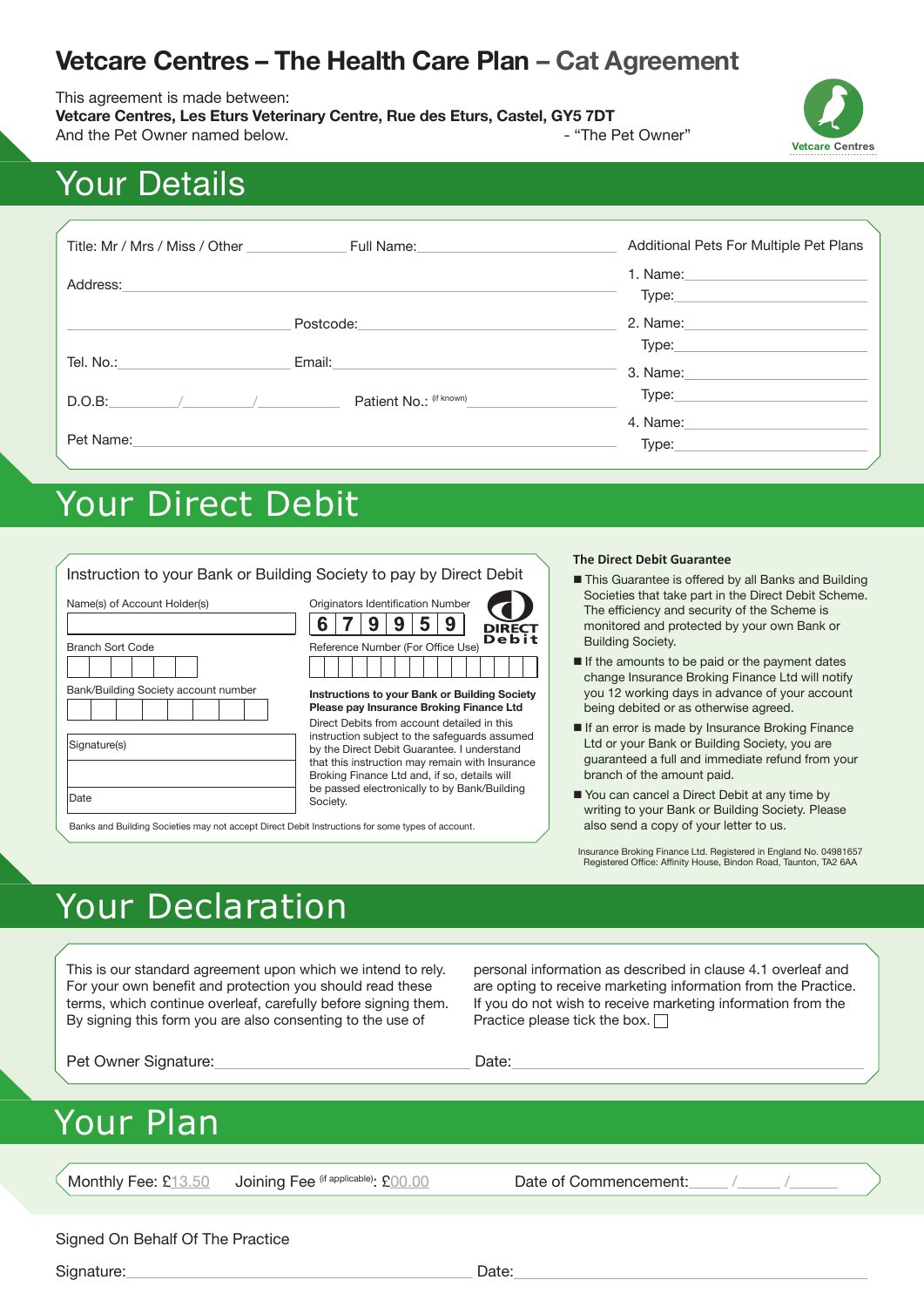# **Vetcare Centres – The Health Care Plan – Cat Agreement**

This agreement is made between:

**Vetcare Centres, Les Eturs Veterinary Centre, Rue des Eturs, Castel, GY5 7DT** And the Pet Owner named below. And the Pet Owner"





# Your Details

| Title: Mr / Mrs / Miss / Other | Full Name: The Contract of the Contract of the Contract of the Contract of the Contract of the Contract of the | Additional Pets For Multiple Pet Plans |
|--------------------------------|----------------------------------------------------------------------------------------------------------------|----------------------------------------|
| Address:                       |                                                                                                                | 1. Name:<br>Type:                      |
|                                | Postcode:                                                                                                      | 2. Name:                               |
| Tel. No.:                      | Email:                                                                                                         | Type:<br>3. Name:                      |
| D.O.B:                         | Patient No.: (if known)                                                                                        | Type:                                  |
| Pet Name:                      |                                                                                                                | 4. Name:<br>Type:                      |

# Your Direct Debit

|                                                                                                          | Instruction to your Bank or Building Society to pay by Direct Debit                                                                                                                                                                            | <b>The Direct Debit Guarantee</b>                                                                                                                                                                                                                                                                                                                                                                                                       |
|----------------------------------------------------------------------------------------------------------|------------------------------------------------------------------------------------------------------------------------------------------------------------------------------------------------------------------------------------------------|-----------------------------------------------------------------------------------------------------------------------------------------------------------------------------------------------------------------------------------------------------------------------------------------------------------------------------------------------------------------------------------------------------------------------------------------|
| Name(s) of Account Holder(s)<br><b>Branch Sort Code</b><br>Bank/Building Society account number          | Originators Identification Number<br>9<br>h<br><b>DIRECT</b><br>Debit<br>Reference Number (For Office Use)<br>Instructions to your Bank or Building Society<br>Please pay Insurance Broking Finance Ltd                                        | This Guarantee is offered by all Banks and Building<br>Societies that take part in the Direct Debit Scheme.<br>The efficiency and security of the Scheme is<br>monitored and protected by your own Bank or<br><b>Building Society.</b><br>If the amounts to be paid or the payment dates<br>change Insurance Broking Finance Ltd will notify<br>you 12 working days in advance of your account<br>being debited or as otherwise agreed. |
| Signature(s)                                                                                             | Direct Debits from account detailed in this<br>instruction subject to the safeguards assumed<br>by the Direct Debit Guarantee. I understand<br>that this instruction may remain with Insurance<br>Broking Finance Ltd and, if so, details will | If an error is made by Insurance Broking Finance<br>Ltd or your Bank or Building Society, you are<br>quaranteed a full and immediate refund from your<br>branch of the amount paid.                                                                                                                                                                                                                                                     |
| Date<br>Banks and Building Societies may not accept Direct Debit Instructions for some types of account. | be passed electronically to by Bank/Building<br>Society.                                                                                                                                                                                       | You can cancel a Direct Debit at any time by<br>writing to your Bank or Building Society. Please<br>also send a copy of your letter to us.                                                                                                                                                                                                                                                                                              |

Insurance Broking Finance Ltd. Registered in England No. 04981657 Registered Office: Affinity House, Bindon Road, Taunton, TA2 6AA

# Your Declaration

This is our standard agreement upon which we intend to rely. For your own benefit and protection you should read these terms, which continue overleaf, carefully before signing them. By signing this form you are also consenting to the use of

personal information as described in clause 4.1 overleaf and are opting to receive marketing information from the Practice. If you do not wish to receive marketing information from the Practice please tick the box.  $\Box$ 

Pet Owner Signature: Date: Date: Date:

# Your Plan

Monthly Fee: £13.50 Joining Fee (if applicable): £00.00 Date of Commencement:

Signed On Behalf Of The Practice

Signature: Date: Date: Date: Date: Date: Date: Date: Date: Date: Date: Date: Date: Date: Date: Date: Date: Date: Date: Date: Date: Date: Date: Date: Date: Date: Date: Date: Date: Date: Date: Date: Date: Date: Date: Date: D